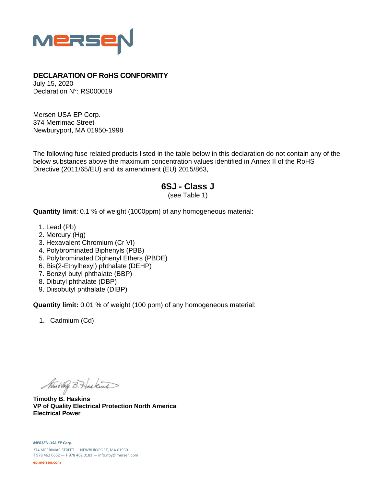

## **DECLARATION OF RoHS CONFORMITY**

July 15, 2020 Declaration N°: RS000019

Mersen USA EP Corp. 374 Merrimac Street Newburyport, MA 01950-1998

The following fuse related products listed in the table below in this declaration do not contain any of the below substances above the maximum concentration values identified in Annex II of the RoHS Directive (2011/65/EU) and its amendment (EU) 2015/863,

## **6SJ - Class J**

(see Table 1)

**Quantity limit**: 0.1 % of weight (1000ppm) of any homogeneous material:

- 1. Lead (Pb)
- 2. Mercury (Hg)
- 3. Hexavalent Chromium (Cr VI)
- 4. Polybrominated Biphenyls (PBB)
- 5. Polybrominated Diphenyl Ethers (PBDE)
- 6. Bis(2-Ethylhexyl) phthalate (DEHP)
- 7. Benzyl butyl phthalate (BBP)
- 8. Dibutyl phthalate (DBP)
- 9. Diisobutyl phthalate (DIBP)

**Quantity limit:** 0.01 % of weight (100 ppm) of any homogeneous material:

1. Cadmium (Cd)

Nimo they B. Has kind

**Timothy B. Haskins VP of Quality Electrical Protection North America Electrical Power**